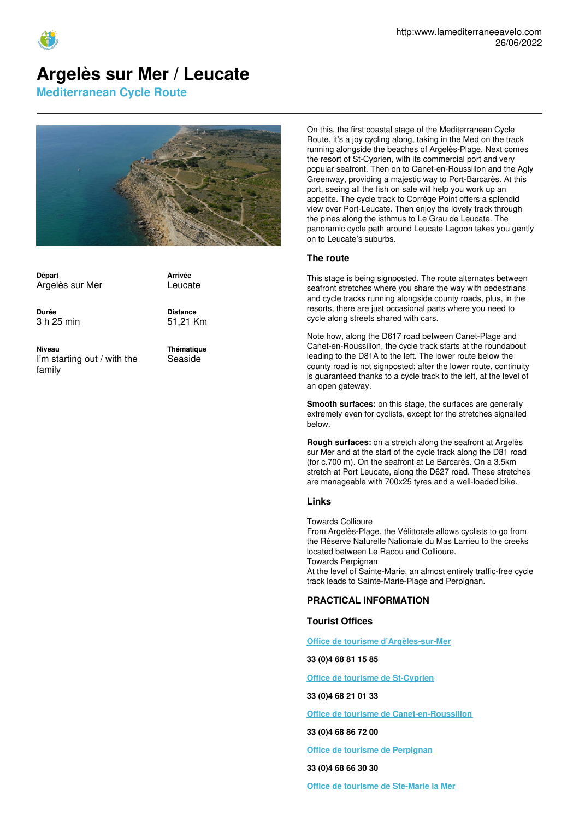

# **Argelès sur Mer / Leucate**

**Mediterranean Cycle Route**



**Départ** Argelès sur Mer

**Arrivée** Leucate

**Durée** 3 h 25 min **Distance** 51,21 Km

**Niveau** I'm starting out / with the family

**Thématique** Seaside

On this, the first coastal stage of the Mediterranean Cycle Route, it's a joy cycling along, taking in the Med on the track running alongside the beaches of Argelès-Plage. Next comes the resort of St-Cyprien, with its commercial port and very popular seafront. Then on to Canet-en-Roussillon and the Agly Greenway, providing a majestic way to Port-Barcarès. At this port, seeing all the fish on sale will help you work up an appetite. The cycle track to Corrège Point offers a splendid view over Port-Leucate. Then enjoy the lovely track through the pines along the isthmus to Le Grau de Leucate. The panoramic cycle path around Leucate Lagoon takes you gently on to Leucate's suburbs.

#### **The route**

This stage is being signposted. The route alternates between seafront stretches where you share the way with pedestrians and cycle tracks running alongside county roads, plus, in the resorts, there are just occasional parts where you need to cycle along streets shared with cars.

Note how, along the D617 road between Canet-Plage and Canet-en-Roussillon, the cycle track starts at the roundabout leading to the D81A to the left. The lower route below the county road is not signposted; after the lower route, continuity is guaranteed thanks to a cycle track to the left, at the level of an open gateway.

**Smooth surfaces:** on this stage, the surfaces are generally extremely even for cyclists, except for the stretches signalled below.

**Rough surfaces:** on a stretch along the seafront at Argelès sur Mer and at the start of the cycle track along the D81 road (for c.700 m). On the seafront at Le Barcarès. On a 3.5km stretch at Port Leucate, along the D627 road. These stretches are manageable with 700x25 tyres and a well-loaded bike.

## **Links**

Towards Collioure

From Argelès-Plage, the Vélittorale allows cyclists to go from the Réserve Naturelle Nationale du Mas Larrieu to the creeks located between Le Racou and Collioure. Towards Perpignan

At the level of Sainte-Marie, an almost entirely traffic-free cycle track leads to Sainte-Marie-Plage and Perpignan.

## **PRACTICAL INFORMATION**

#### **Tourist Offices**

**Office de tourisme [d'Argèles-sur-Mer](http://www.argeles-sur-mer.com/)**

**33 (0)4 68 81 15 85**

**Office de tourisme de [St-Cyprien](https://www.tourisme-saint-cyprien.com)**

**33 (0)4 68 21 01 33**

**Office de tourisme de [Canet-en-Roussillon](http://www.ot-canet.fr)**

**33 (0)4 68 86 72 00**

**Office de tourisme de [Perpignan](http://www.perpignantourisme.com/)**

**33 (0)4 68 66 30 30**

**Office de tourisme de [Ste-Marie](http://www.saintemarielamer.fr/) la Mer**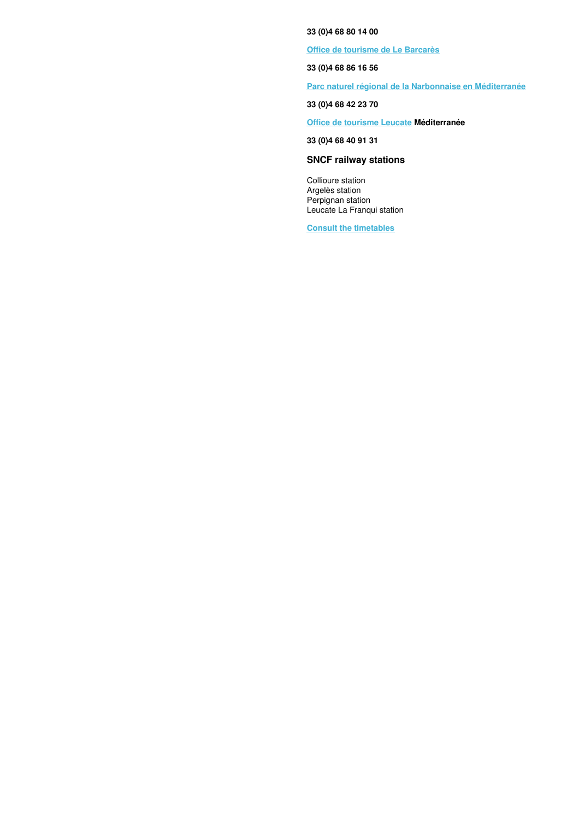**33 (0)4 68 80 14 00**

**Office de [tourisme](http://portbarcares.com/) de Le Barcarès**

**33 (0)4 68 86 16 56**

**Parc naturel régional de la Narbonnaise en [Méditerranée](http://www.parc-naturel-narbonnaise.fr/)**

**33 (0)4 68 42 23 70**

**Office de [tourisme](https://www.tourisme-leucate.fr/) Leucate Méditerranée**

**33 (0)4 68 40 91 31**

# **SNCF railway stations**

Collioure station Argelès station Perpignan station Leucate La Franqui station

**Consult the [timetables](https://www.ter.sncf.com/occitanie)**